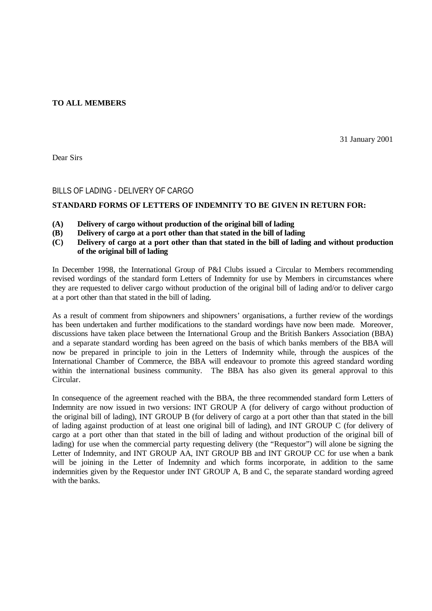# **TO ALL MEMBERS**

31 January 2001

Dear Sirs

# BILLS OF LADING - DELIVERY OF CARGO

#### **STANDARD FORMS OF LETTERS OF INDEMNITY TO BE GIVEN IN RETURN FOR:**

- **(A) Delivery of cargo without production of the original bill of lading**
- **(B) Delivery of cargo at a port other than that stated in the bill of lading**
- **(C) Delivery of cargo at a port other than that stated in the bill of lading and without production of the original bill of lading**

In December 1998, the International Group of P&I Clubs issued a Circular to Members recommending revised wordings of the standard form Letters of Indemnity for use by Members in circumstances where they are requested to deliver cargo without production of the original bill of lading and/or to deliver cargo at a port other than that stated in the bill of lading.

As a result of comment from shipowners and shipowners' organisations, a further review of the wordings has been undertaken and further modifications to the standard wordings have now been made. Moreover, discussions have taken place between the International Group and the British Bankers Association (BBA) and a separate standard wording has been agreed on the basis of which banks members of the BBA will now be prepared in principle to join in the Letters of Indemnity while, through the auspices of the International Chamber of Commerce, the BBA will endeavour to promote this agreed standard wording within the international business community. The BBA has also given its general approval to this Circular.

In consequence of the agreement reached with the BBA, the three recommended standard form Letters of Indemnity are now issued in two versions: INT GROUP A (for delivery of cargo without production of the original bill of lading), INT GROUP B (for delivery of cargo at a port other than that stated in the bill of lading against production of at least one original bill of lading), and INT GROUP C (for delivery of cargo at a port other than that stated in the bill of lading and without production of the original bill of lading) for use when the commercial party requesting delivery (the "Requestor") will alone be signing the Letter of Indemnity, and INT GROUP AA, INT GROUP BB and INT GROUP CC for use when a bank will be joining in the Letter of Indemnity and which forms incorporate, in addition to the same indemnities given by the Requestor under INT GROUP A, B and C, the separate standard wording agreed with the banks.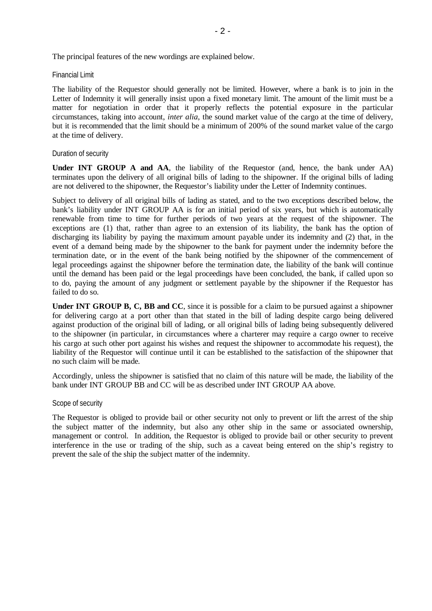The principal features of the new wordings are explained below.

#### Financial Limit

The liability of the Requestor should generally not be limited. However, where a bank is to join in the Letter of Indemnity it will generally insist upon a fixed monetary limit. The amount of the limit must be a matter for negotiation in order that it properly reflects the potential exposure in the particular circumstances, taking into account, *inter alia*, the sound market value of the cargo at the time of delivery, but it is recommended that the limit should be a minimum of 200% of the sound market value of the cargo at the time of delivery.

#### Duration of security

**Under INT GROUP A and AA**, the liability of the Requestor (and, hence, the bank under AA) terminates upon the delivery of all original bills of lading to the shipowner. If the original bills of lading are not delivered to the shipowner, the Requestor's liability under the Letter of Indemnity continues.

Subject to delivery of all original bills of lading as stated, and to the two exceptions described below, the bank's liability under INT GROUP AA is for an initial period of six years, but which is automatically renewable from time to time for further periods of two years at the request of the shipowner. The exceptions are (1) that, rather than agree to an extension of its liability, the bank has the option of discharging its liability by paying the maximum amount payable under its indemnity and (2) that, in the event of a demand being made by the shipowner to the bank for payment under the indemnity before the termination date, or in the event of the bank being notified by the shipowner of the commencement of legal proceedings against the shipowner before the termination date, the liability of the bank will continue until the demand has been paid or the legal proceedings have been concluded, the bank, if called upon so to do, paying the amount of any judgment or settlement payable by the shipowner if the Requestor has failed to do so.

**Under INT GROUP B, C, BB and CC**, since it is possible for a claim to be pursued against a shipowner for delivering cargo at a port other than that stated in the bill of lading despite cargo being delivered against production of the original bill of lading, or all original bills of lading being subsequently delivered to the shipowner (in particular, in circumstances where a charterer may require a cargo owner to receive his cargo at such other port against his wishes and request the shipowner to accommodate his request), the liability of the Requestor will continue until it can be established to the satisfaction of the shipowner that no such claim will be made.

Accordingly, unless the shipowner is satisfied that no claim of this nature will be made, the liability of the bank under INT GROUP BB and CC will be as described under INT GROUP AA above.

#### Scope of security

The Requestor is obliged to provide bail or other security not only to prevent or lift the arrest of the ship the subject matter of the indemnity, but also any other ship in the same or associated ownership, management or control. In addition, the Requestor is obliged to provide bail or other security to prevent interference in the use or trading of the ship, such as a caveat being entered on the ship's registry to prevent the sale of the ship the subject matter of the indemnity.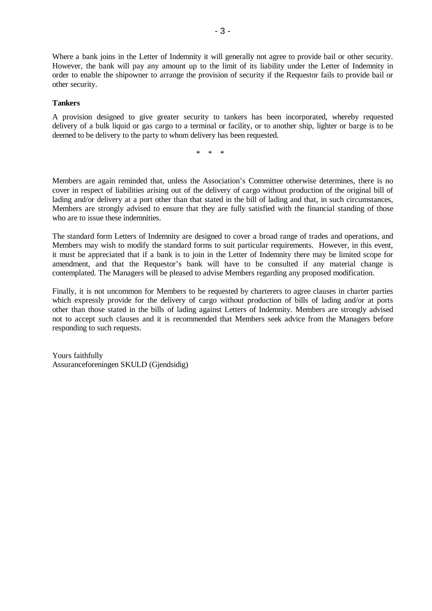Where a bank joins in the Letter of Indemnity it will generally not agree to provide bail or other security. However, the bank will pay any amount up to the limit of its liability under the Letter of Indemnity in order to enable the shipowner to arrange the provision of security if the Requestor fails to provide bail or other security.

#### **Tankers**

A provision designed to give greater security to tankers has been incorporated, whereby requested delivery of a bulk liquid or gas cargo to a terminal or facility, or to another ship, lighter or barge is to be deemed to be delivery to the party to whom delivery has been requested.

\*\*\*

Members are again reminded that, unless the Association's Committee otherwise determines, there is no cover in respect of liabilities arising out of the delivery of cargo without production of the original bill of lading and/or delivery at a port other than that stated in the bill of lading and that, in such circumstances, Members are strongly advised to ensure that they are fully satisfied with the financial standing of those who are to issue these indemnities.

The standard form Letters of Indemnity are designed to cover a broad range of trades and operations, and Members may wish to modify the standard forms to suit particular requirements. However, in this event, it must be appreciated that if a bank is to join in the Letter of Indemnity there may be limited scope for amendment, and that the Requestor's bank will have to be consulted if any material change is contemplated. The Managers will be pleased to advise Members regarding any proposed modification.

Finally, it is not uncommon for Members to be requested by charterers to agree clauses in charter parties which expressly provide for the delivery of cargo without production of bills of lading and/or at ports other than those stated in the bills of lading against Letters of Indemnity. Members are strongly advised not to accept such clauses and it is recommended that Members seek advice from the Managers before responding to such requests.

Yours faithfully Assuranceforeningen SKULD (Gjendsidig)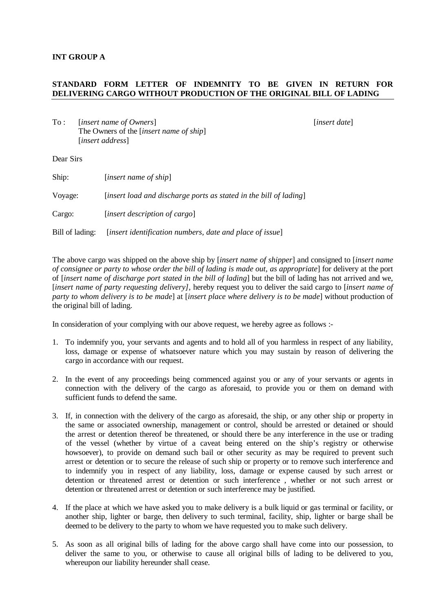#### **INT GROUP A**

# **STANDARD FORM LETTER OF INDEMNITY TO BE GIVEN IN RETURN FOR DELIVERING CARGO WITHOUT PRODUCTION OF THE ORIGINAL BILL OF LADING**

| $\mathrm{To:}$ | [insert name of Owners]                 |
|----------------|-----------------------------------------|
|                | The Owners of the [insert name of ship] |
|                | [ <i>insert address</i> ]               |

 $[insert date]$ 

| Dear Sirs       |                                                                   |
|-----------------|-------------------------------------------------------------------|
| Ship:           | <i>linsert name of ship</i>                                       |
| Voyage:         | [insert load and discharge ports as stated in the bill of lading] |
| Cargo:          | [insert description of cargo]                                     |
| Bill of lading: | [insert identification numbers, date and place of issue]          |

The above cargo was shipped on the above ship by [*insert name of shipper*] and consigned to [*insert name of consignee or party to whose order the bill of lading is made out, as appropriate*] for delivery at the port of [*insert name of discharge port stated in the bill of lading*] but the bill of lading has not arrived and we, [*insert name of party requesting delivery],* hereby request you to deliver the said cargo to [*insert name of party to whom delivery is to be made*] at [*insert place where delivery is to be made*] without production of the original bill of lading.

- 1. To indemnify you, your servants and agents and to hold all of you harmless in respect of any liability, loss, damage or expense of whatsoever nature which you may sustain by reason of delivering the cargo in accordance with our request.
- 2. In the event of any proceedings being commenced against you or any of your servants or agents in connection with the delivery of the cargo as aforesaid, to provide you or them on demand with sufficient funds to defend the same.
- 3. If, in connection with the delivery of the cargo as aforesaid, the ship, or any other ship or property in the same or associated ownership, management or control, should be arrested or detained or should the arrest or detention thereof be threatened, or should there be any interference in the use or trading of the vessel (whether by virtue of a caveat being entered on the ship's registry or otherwise howsoever), to provide on demand such bail or other security as may be required to prevent such arrest or detention or to secure the release of such ship or property or to remove such interference and to indemnify you in respect of any liability, loss, damage or expense caused by such arrest or detention or threatened arrest or detention or such interference , whether or not such arrest or detention or threatened arrest or detention or such interference may be justified.
- 4. If the place at which we have asked you to make delivery is a bulk liquid or gas terminal or facility, or another ship, lighter or barge, then delivery to such terminal, facility, ship, lighter or barge shall be deemed to be delivery to the party to whom we have requested you to make such delivery.
- 5. As soon as all original bills of lading for the above cargo shall have come into our possession, to deliver the same to you, or otherwise to cause all original bills of lading to be delivered to you, whereupon our liability hereunder shall cease.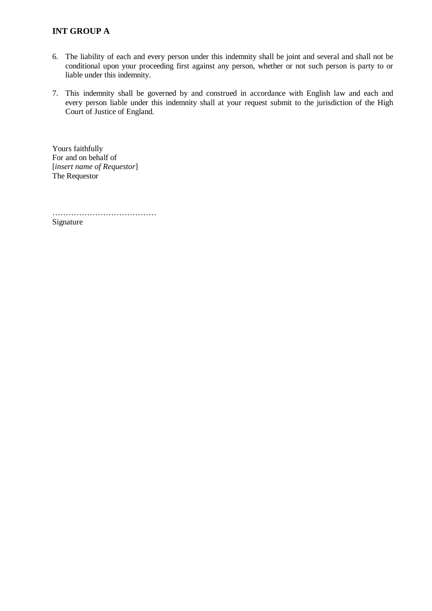# **INT GROUP A**

- 6. The liability of each and every person under this indemnity shall be joint and several and shall not be conditional upon your proceeding first against any person, whether or not such person is party to or liable under this indemnity.
- 7. This indemnity shall be governed by and construed in accordance with English law and each and every person liable under this indemnity shall at your request submit to the jurisdiction of the High Court of Justice of England.

Yours faithfully For and on behalf of [*insert name of Requestor*] The Requestor

…………………………………………

Signature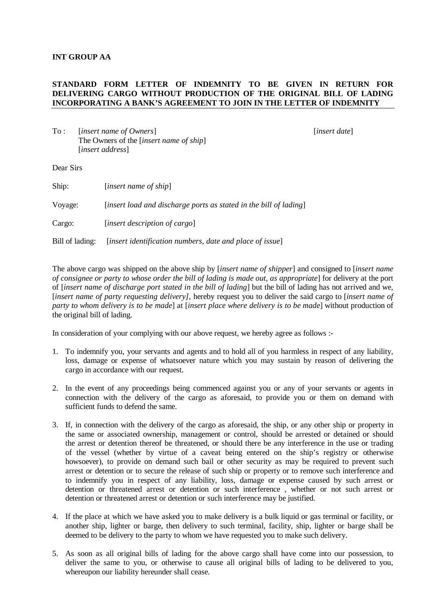#### **INT GROUP AA**

# **STANDARD FORM LETTER OF INDEMNITY TO BE GIVEN IN RETURN FOR DELIVERING CARGO WITHOUT PRODUCTION OF THE ORIGINAL BILL OF LADING INCORPORATING A BANK'S AGREEMENT TO JOIN IN THE LETTER OF INDEMNITY**

To : [*insert name of Owners*] [*insert date*] The Owners of the [*insert name of ship*] [*insert address*]

Dear Sirs

| Ship:           | [insert name of ship]                                             |
|-----------------|-------------------------------------------------------------------|
| Voyage:         | [insert load and discharge ports as stated in the bill of lading] |
| Cargo:          | <i>linsert description of cargo</i>                               |
| Bill of lading: | [insert identification numbers, date and place of issue]          |

The above cargo was shipped on the above ship by [*insert name of shipper*] and consigned to [*insert name of consignee or party to whose order the bill of lading is made out, as appropriate*] for delivery at the port of [*insert name of discharge port stated in the bill of lading*] but the bill of lading has not arrived and we, [*insert name of party requesting delivery],* hereby request you to deliver the said cargo to [*insert name of party to whom delivery is to be made*] at [*insert place where delivery is to be made*] without production of the original bill of lading.

- 1. To indemnify you, your servants and agents and to hold all of you harmless in respect of any liability, loss, damage or expense of whatsoever nature which you may sustain by reason of delivering the cargo in accordance with our request.
- 2. In the event of any proceedings being commenced against you or any of your servants or agents in connection with the delivery of the cargo as aforesaid, to provide you or them on demand with sufficient funds to defend the same.
- 3. If, in connection with the delivery of the cargo as aforesaid, the ship, or any other ship or property in the same or associated ownership, management or control, should be arrested or detained or should the arrest or detention thereof be threatened, or should there be any interference in the use or trading of the vessel (whether by virtue of a caveat being entered on the ship's registry or otherwise howsoever), to provide on demand such bail or other security as may be required to prevent such arrest or detention or to secure the release of such ship or property or to remove such interference and to indemnify you in respect of any liability, loss, damage or expense caused by such arrest or detention or threatened arrest or detention or such interference , whether or not such arrest or detention or threatened arrest or detention or such interference may be justified.
- 4. If the place at which we have asked you to make delivery is a bulk liquid or gas terminal or facility, or another ship, lighter or barge, then delivery to such terminal, facility, ship, lighter or barge shall be deemed to be delivery to the party to whom we have requested you to make such delivery.
- 5. As soon as all original bills of lading for the above cargo shall have come into our possession, to deliver the same to you, or otherwise to cause all original bills of lading to be delivered to you, whereupon our liability hereunder shall cease.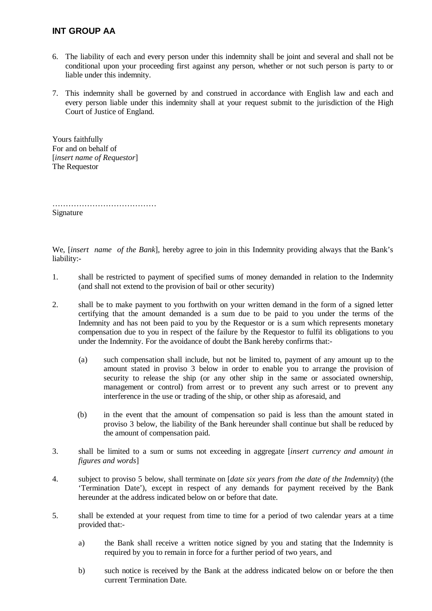# **INT GROUP AA**

- 6. The liability of each and every person under this indemnity shall be joint and several and shall not be conditional upon your proceeding first against any person, whether or not such person is party to or liable under this indemnity.
- 7. This indemnity shall be governed by and construed in accordance with English law and each and every person liable under this indemnity shall at your request submit to the jurisdiction of the High Court of Justice of England.

Yours faithfully For and on behalf of [*insert name of Requestor*] The Requestor

………………………………… Signature

We, [*insert name of the Bank*], hereby agree to join in this Indemnity providing always that the Bank's liability:-

- 1. shall be restricted to payment of specified sums of money demanded in relation to the Indemnity (and shall not extend to the provision of bail or other security)
- 2. shall be to make payment to you forthwith on your written demand in the form of a signed letter certifying that the amount demanded is a sum due to be paid to you under the terms of the Indemnity and has not been paid to you by the Requestor or is a sum which represents monetary compensation due to you in respect of the failure by the Requestor to fulfil its obligations to you under the Indemnity. For the avoidance of doubt the Bank hereby confirms that:-
	- (a) such compensation shall include, but not be limited to, payment of any amount up to the amount stated in proviso 3 below in order to enable you to arrange the provision of security to release the ship (or any other ship in the same or associated ownership, management or control) from arrest or to prevent any such arrest or to prevent any interference in the use or trading of the ship, or other ship as aforesaid, and
	- (b) in the event that the amount of compensation so paid is less than the amount stated in proviso 3 below, the liability of the Bank hereunder shall continue but shall be reduced by the amount of compensation paid.
- 3. shall be limited to a sum or sums not exceeding in aggregate [*insert currency and amount in figures and words*]
- 4. subject to proviso 5 below, shall terminate on [*date six years from the date of the Indemnity*) (the 'Termination Date'), except in respect of any demands for payment received by the Bank hereunder at the address indicated below on or before that date.
- 5. shall be extended at your request from time to time for a period of two calendar years at a time provided that:
	- a) the Bank shall receive a written notice signed by you and stating that the Indemnity is required by you to remain in force for a further period of two years, and
	- b) such notice is received by the Bank at the address indicated below on or before the then current Termination Date.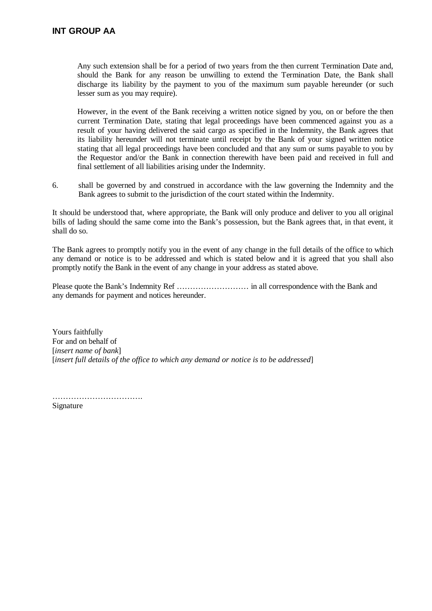Any such extension shall be for a period of two years from the then current Termination Date and, should the Bank for any reason be unwilling to extend the Termination Date, the Bank shall discharge its liability by the payment to you of the maximum sum payable hereunder (or such lesser sum as you may require).

However, in the event of the Bank receiving a written notice signed by you, on or before the then current Termination Date, stating that legal proceedings have been commenced against you as a result of your having delivered the said cargo as specified in the Indemnity, the Bank agrees that its liability hereunder will not terminate until receipt by the Bank of your signed written notice stating that all legal proceedings have been concluded and that any sum or sums payable to you by the Requestor and/or the Bank in connection therewith have been paid and received in full and final settlement of all liabilities arising under the Indemnity.

6. shall be governed by and construed in accordance with the law governing the Indemnity and the Bank agrees to submit to the jurisdiction of the court stated within the Indemnity.

It should be understood that, where appropriate, the Bank will only produce and deliver to you all original bills of lading should the same come into the Bank's possession, but the Bank agrees that, in that event, it shall do so.

The Bank agrees to promptly notify you in the event of any change in the full details of the office to which any demand or notice is to be addressed and which is stated below and it is agreed that you shall also promptly notify the Bank in the event of any change in your address as stated above.

Please quote the Bank's Indemnity Ref ……………………… in all correspondence with the Bank and any demands for payment and notices hereunder.

Yours faithfully For and on behalf of [*insert name of bank*] [*insert full details of the office to which any demand or notice is to be addressed*]

……………………………. Signature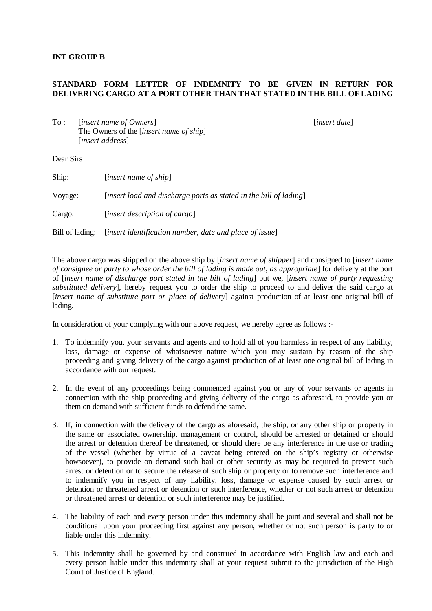# **STANDARD FORM LETTER OF INDEMNITY TO BE GIVEN IN RETURN FOR DELIVERING CARGO AT A PORT OTHER THAN THAT STATED IN THE BILL OF LADING**

| $\mathrm{To:}\;$ | [insert name of Owners]                 |
|------------------|-----------------------------------------|
|                  | The Owners of the [insert name of ship] |
|                  | [ <i>insert address</i> ]               |

[*insert date*]

| Dear Sirs       |                                                                   |
|-----------------|-------------------------------------------------------------------|
| Ship:           | <i>linsert name of ship</i>                                       |
| Voyage:         | [insert load and discharge ports as stated in the bill of lading] |
| Cargo:          | [insert description of cargo]                                     |
| Bill of lading: | [insert identification number, date and place of issue]           |

The above cargo was shipped on the above ship by [*insert name of shipper*] and consigned to [*insert name of consignee or party to whose order the bill of lading is made out, as appropriate*] for delivery at the port of [*insert name of discharge port stated in the bill of lading*] but we, [*insert name of party requesting substituted delivery*], hereby request you to order the ship to proceed to and deliver the said cargo at [*insert name of substitute port or place of delivery*] against production of at least one original bill of lading.

- 1. To indemnify you, your servants and agents and to hold all of you harmless in respect of any liability, loss, damage or expense of whatsoever nature which you may sustain by reason of the ship proceeding and giving delivery of the cargo against production of at least one original bill of lading in accordance with our request.
- 2. In the event of any proceedings being commenced against you or any of your servants or agents in connection with the ship proceeding and giving delivery of the cargo as aforesaid, to provide you or them on demand with sufficient funds to defend the same.
- 3. If, in connection with the delivery of the cargo as aforesaid, the ship, or any other ship or property in the same or associated ownership, management or control, should be arrested or detained or should the arrest or detention thereof be threatened, or should there be any interference in the use or trading of the vessel (whether by virtue of a caveat being entered on the ship's registry or otherwise howsoever), to provide on demand such bail or other security as may be required to prevent such arrest or detention or to secure the release of such ship or property or to remove such interference and to indemnify you in respect of any liability, loss, damage or expense caused by such arrest or detention or threatened arrest or detention or such interference, whether or not such arrest or detention or threatened arrest or detention or such interference may be justified.
- 4. The liability of each and every person under this indemnity shall be joint and several and shall not be conditional upon your proceeding first against any person, whether or not such person is party to or liable under this indemnity.
- 5. This indemnity shall be governed by and construed in accordance with English law and each and every person liable under this indemnity shall at your request submit to the jurisdiction of the High Court of Justice of England.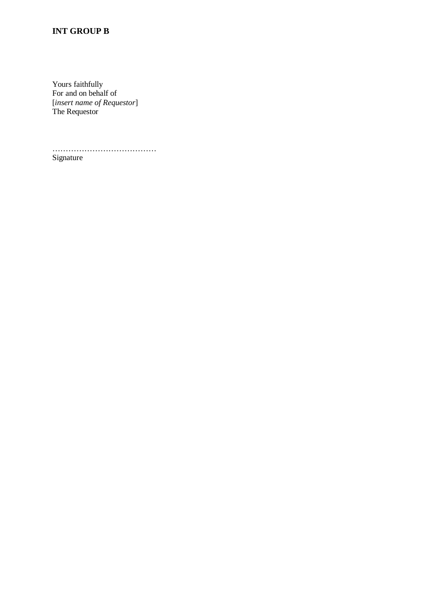# **INT GROUP B**

Yours faithfully For and on behalf of [*insert name of Requestor*] The Requestor

…………………………………

Signature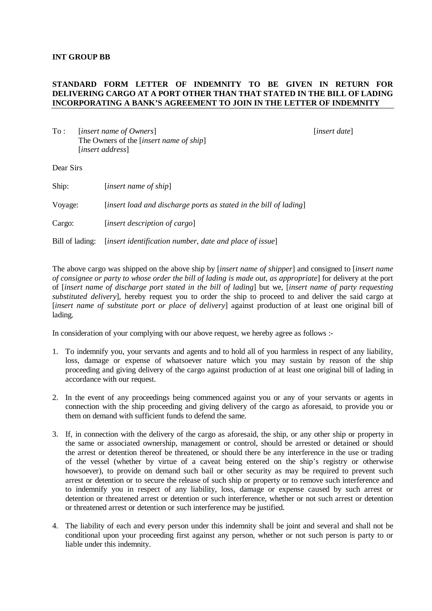# **STANDARD FORM LETTER OF INDEMNITY TO BE GIVEN IN RETURN FOR DELIVERING CARGO AT A PORT OTHER THAN THAT STATED IN THE BILL OF LADING INCORPORATING A BANK'S AGREEMENT TO JOIN IN THE LETTER OF INDEMNITY**

To : [*insert name of Owners*] [*insert date*] The Owners of the [*insert name of ship*] [*insert address*]

Dear Sirs

| Ship:           | [insert name of ship]                                             |
|-----------------|-------------------------------------------------------------------|
| Voyage:         | [insert load and discharge ports as stated in the bill of lading] |
| Cargo:          | [insert description of cargo]                                     |
| Bill of lading: | [insert identification number, date and place of issue]           |

The above cargo was shipped on the above ship by [*insert name of shipper*] and consigned to [*insert name of consignee or party to whose order the bill of lading is made out, as appropriate*] for delivery at the port of [*insert name of discharge port stated in the bill of lading*] but we, [*insert name of party requesting substituted delivery*], hereby request you to order the ship to proceed to and deliver the said cargo at [*insert name of substitute port or place of delivery*] against production of at least one original bill of lading.

- 1. To indemnify you, your servants and agents and to hold all of you harmless in respect of any liability, loss, damage or expense of whatsoever nature which you may sustain by reason of the ship proceeding and giving delivery of the cargo against production of at least one original bill of lading in accordance with our request.
- 2. In the event of any proceedings being commenced against you or any of your servants or agents in connection with the ship proceeding and giving delivery of the cargo as aforesaid, to provide you or them on demand with sufficient funds to defend the same.
- 3. If, in connection with the delivery of the cargo as aforesaid, the ship, or any other ship or property in the same or associated ownership, management or control, should be arrested or detained or should the arrest or detention thereof be threatened, or should there be any interference in the use or trading of the vessel (whether by virtue of a caveat being entered on the ship's registry or otherwise howsoever), to provide on demand such bail or other security as may be required to prevent such arrest or detention or to secure the release of such ship or property or to remove such interference and to indemnify you in respect of any liability, loss, damage or expense caused by such arrest or detention or threatened arrest or detention or such interference, whether or not such arrest or detention or threatened arrest or detention or such interference may be justified.
- 4. The liability of each and every person under this indemnity shall be joint and several and shall not be conditional upon your proceeding first against any person, whether or not such person is party to or liable under this indemnity.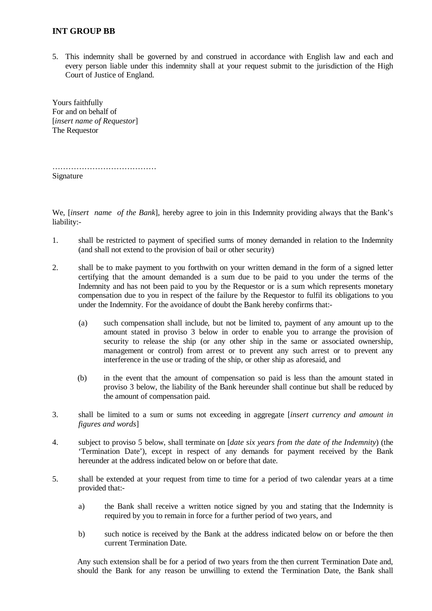# **INT GROUP BB**

5. This indemnity shall be governed by and construed in accordance with English law and each and every person liable under this indemnity shall at your request submit to the jurisdiction of the High Court of Justice of England.

Yours faithfully For and on behalf of [*insert name of Requestor*] The Requestor

………………………………… Signature

We, [*insert name of the Bank*], hereby agree to join in this Indemnity providing always that the Bank's liability:-

- 1. shall be restricted to payment of specified sums of money demanded in relation to the Indemnity (and shall not extend to the provision of bail or other security)
- 2. shall be to make payment to you forthwith on your written demand in the form of a signed letter certifying that the amount demanded is a sum due to be paid to you under the terms of the Indemnity and has not been paid to you by the Requestor or is a sum which represents monetary compensation due to you in respect of the failure by the Requestor to fulfil its obligations to you under the Indemnity. For the avoidance of doubt the Bank hereby confirms that:-
	- (a) such compensation shall include, but not be limited to, payment of any amount up to the amount stated in proviso 3 below in order to enable you to arrange the provision of security to release the ship (or any other ship in the same or associated ownership, management or control) from arrest or to prevent any such arrest or to prevent any interference in the use or trading of the ship, or other ship as aforesaid, and
	- (b) in the event that the amount of compensation so paid is less than the amount stated in proviso 3 below, the liability of the Bank hereunder shall continue but shall be reduced by the amount of compensation paid.
- 3. shall be limited to a sum or sums not exceeding in aggregate [*insert currency and amount in figures and words*]
- 4. subject to proviso 5 below, shall terminate on [*date six years from the date of the Indemnity*) (the 'Termination Date'), except in respect of any demands for payment received by the Bank hereunder at the address indicated below on or before that date.
- 5. shall be extended at your request from time to time for a period of two calendar years at a time provided that:
	- a) the Bank shall receive a written notice signed by you and stating that the Indemnity is required by you to remain in force for a further period of two years, and
	- b) such notice is received by the Bank at the address indicated below on or before the then current Termination Date.

Any such extension shall be for a period of two years from the then current Termination Date and, should the Bank for any reason be unwilling to extend the Termination Date, the Bank shall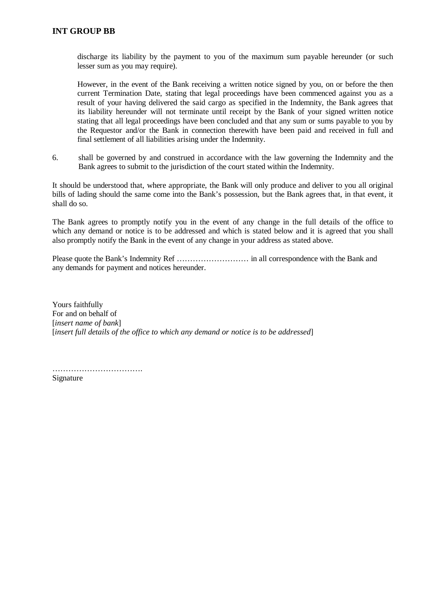# **INT GROUP BB**

discharge its liability by the payment to you of the maximum sum payable hereunder (or such lesser sum as you may require).

However, in the event of the Bank receiving a written notice signed by you, on or before the then current Termination Date, stating that legal proceedings have been commenced against you as a result of your having delivered the said cargo as specified in the Indemnity, the Bank agrees that its liability hereunder will not terminate until receipt by the Bank of your signed written notice stating that all legal proceedings have been concluded and that any sum or sums payable to you by the Requestor and/or the Bank in connection therewith have been paid and received in full and final settlement of all liabilities arising under the Indemnity.

6. shall be governed by and construed in accordance with the law governing the Indemnity and the Bank agrees to submit to the jurisdiction of the court stated within the Indemnity.

It should be understood that, where appropriate, the Bank will only produce and deliver to you all original bills of lading should the same come into the Bank's possession, but the Bank agrees that, in that event, it shall do so.

The Bank agrees to promptly notify you in the event of any change in the full details of the office to which any demand or notice is to be addressed and which is stated below and it is agreed that you shall also promptly notify the Bank in the event of any change in your address as stated above.

Please quote the Bank's Indemnity Ref ……………………… in all correspondence with the Bank and any demands for payment and notices hereunder.

Yours faithfully For and on behalf of [*insert name of bank*] [*insert full details of the office to which any demand or notice is to be addressed*]

……………………………. Signature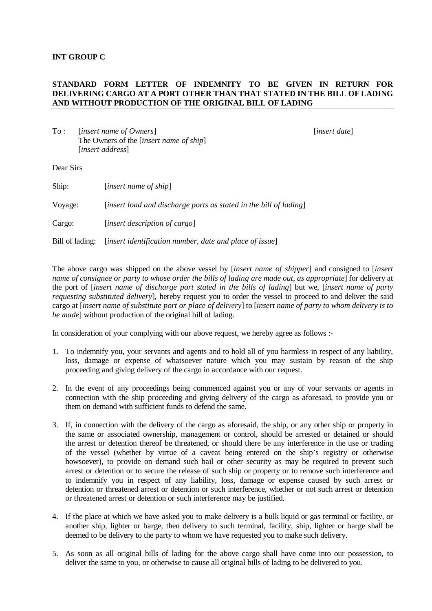#### **INT GROUP C**

# **STANDARD FORM LETTER OF INDEMNITY TO BE GIVEN IN RETURN FOR DELIVERING CARGO AT A PORT OTHER THAN THAT STATED IN THE BILL OF LADING AND WITHOUT PRODUCTION OF THE ORIGINAL BILL OF LADING**

To : [*insert name of Owners*] [*insert date*] The Owners of the [*insert name of ship*] [*insert address*]

Dear Sirs

| Ship:           | [insert name of ship]                                             |
|-----------------|-------------------------------------------------------------------|
| Voyage:         | [insert load and discharge ports as stated in the bill of lading] |
| Cargo:          | [insert description of cargo]                                     |
| Bill of lading: | [insert identification number, date and place of issue]           |

The above cargo was shipped on the above vessel by [*insert name of shipper*] and consigned to [*insert name of consignee or party to whose order the bills of lading are made out, as appropriate*] for delivery at the port of [*insert name of discharge port stated in the bills of lading*] but we, [*insert name of party requesting substituted delivery*], hereby request you to order the vessel to proceed to and deliver the said cargo at [*insert name of substitute port or place of delivery*] to [*insert name of party to whom delivery is to be made*] without production of the original bill of lading.

- 1. To indemnify you, your servants and agents and to hold all of you harmless in respect of any liability, loss, damage or expense of whatsoever nature which you may sustain by reason of the ship proceeding and giving delivery of the cargo in accordance with our request.
- 2. In the event of any proceedings being commenced against you or any of your servants or agents in connection with the ship proceeding and giving delivery of the cargo as aforesaid, to provide you or them on demand with sufficient funds to defend the same.
- 3. If, in connection with the delivery of the cargo as aforesaid, the ship, or any other ship or property in the same or associated ownership, management or control, should be arrested or detained or should the arrest or detention thereof be threatened, or should there be any interference in the use or trading of the vessel (whether by virtue of a caveat being entered on the ship's registry or otherwise howsoever), to provide on demand such bail or other security as may be required to prevent such arrest or detention or to secure the release of such ship or property or to remove such interference and to indemnify you in respect of any liability, loss, damage or expense caused by such arrest or detention or threatened arrest or detention or such interference, whether or not such arrest or detention or threatened arrest or detention or such interference may be justified.
- 4. If the place at which we have asked you to make delivery is a bulk liquid or gas terminal or facility, or another ship, lighter or barge, then delivery to such terminal, facility, ship, lighter or barge shall be deemed to be delivery to the party to whom we have requested you to make such delivery.
- 5. As soon as all original bills of lading for the above cargo shall have come into our possession, to deliver the same to you, or otherwise to cause all original bills of lading to be delivered to you.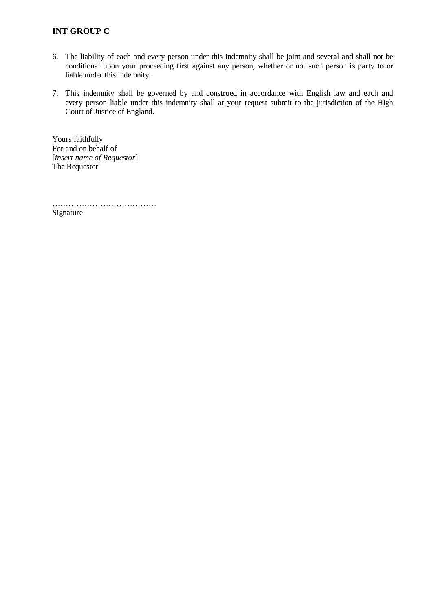# **INT GROUP C**

- 6. The liability of each and every person under this indemnity shall be joint and several and shall not be conditional upon your proceeding first against any person, whether or not such person is party to or liable under this indemnity.
- 7. This indemnity shall be governed by and construed in accordance with English law and each and every person liable under this indemnity shall at your request submit to the jurisdiction of the High Court of Justice of England.

Yours faithfully For and on behalf of [*insert name of Requestor*] The Requestor

………………………………… Signature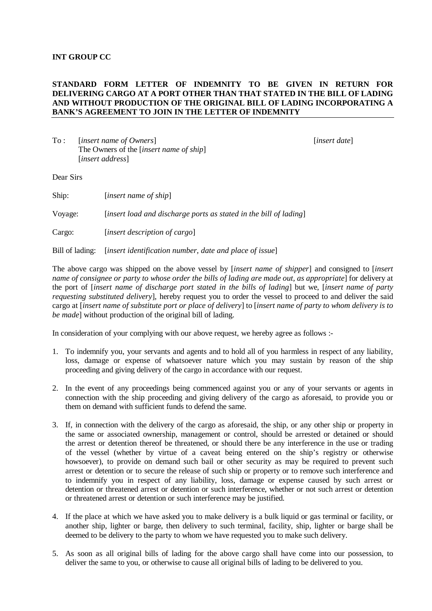#### **INT GROUP CC**

## **STANDARD FORM LETTER OF INDEMNITY TO BE GIVEN IN RETURN FOR DELIVERING CARGO AT A PORT OTHER THAN THAT STATED IN THE BILL OF LADING AND WITHOUT PRODUCTION OF THE ORIGINAL BILL OF LADING INCORPORATING A BANK'S AGREEMENT TO JOIN IN THE LETTER OF INDEMNITY**

| $\mathrm{To:}\;$ | [insert name of Owners]                          |
|------------------|--------------------------------------------------|
|                  | The Owners of the [ <i>insert name of ship</i> ] |
|                  | [ <i>insert address</i> ]                        |

[*insert date*]

Dear Sirs

| Ship:           | [insert name of ship]                                             |
|-----------------|-------------------------------------------------------------------|
| Voyage:         | [insert load and discharge ports as stated in the bill of lading] |
| Cargo:          | [insert description of cargo]                                     |
| Bill of lading: | [insert identification number, date and place of issue]           |

The above cargo was shipped on the above vessel by [*insert name of shipper*] and consigned to [*insert name of consignee or party to whose order the bills of lading are made out, as appropriate*] for delivery at the port of [*insert name of discharge port stated in the bills of lading*] but we, [*insert name of party requesting substituted delivery*], hereby request you to order the vessel to proceed to and deliver the said cargo at [*insert name of substitute port or place of delivery*] to [*insert name of party to whom delivery is to be made*] without production of the original bill of lading.

- 1. To indemnify you, your servants and agents and to hold all of you harmless in respect of any liability, loss, damage or expense of whatsoever nature which you may sustain by reason of the ship proceeding and giving delivery of the cargo in accordance with our request.
- 2. In the event of any proceedings being commenced against you or any of your servants or agents in connection with the ship proceeding and giving delivery of the cargo as aforesaid, to provide you or them on demand with sufficient funds to defend the same.
- 3. If, in connection with the delivery of the cargo as aforesaid, the ship, or any other ship or property in the same or associated ownership, management or control, should be arrested or detained or should the arrest or detention thereof be threatened, or should there be any interference in the use or trading of the vessel (whether by virtue of a caveat being entered on the ship's registry or otherwise howsoever), to provide on demand such bail or other security as may be required to prevent such arrest or detention or to secure the release of such ship or property or to remove such interference and to indemnify you in respect of any liability, loss, damage or expense caused by such arrest or detention or threatened arrest or detention or such interference, whether or not such arrest or detention or threatened arrest or detention or such interference may be justified.
- 4. If the place at which we have asked you to make delivery is a bulk liquid or gas terminal or facility, or another ship, lighter or barge, then delivery to such terminal, facility, ship, lighter or barge shall be deemed to be delivery to the party to whom we have requested you to make such delivery.
- 5. As soon as all original bills of lading for the above cargo shall have come into our possession, to deliver the same to you, or otherwise to cause all original bills of lading to be delivered to you.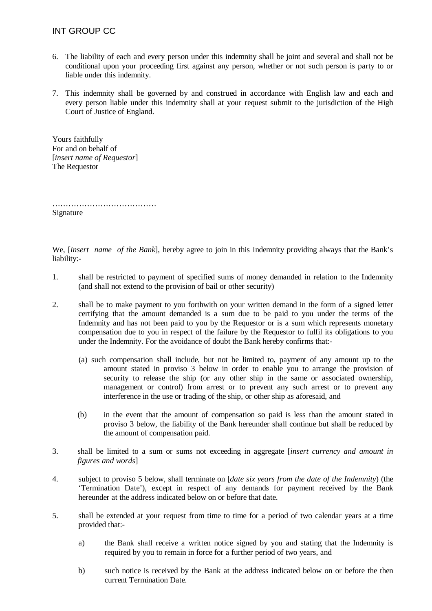# INT GROUP CC

- 6. The liability of each and every person under this indemnity shall be joint and several and shall not be conditional upon your proceeding first against any person, whether or not such person is party to or liable under this indemnity.
- 7. This indemnity shall be governed by and construed in accordance with English law and each and every person liable under this indemnity shall at your request submit to the jurisdiction of the High Court of Justice of England.

Yours faithfully For and on behalf of [*insert name of Requestor*] The Requestor

………………………………… Signature

We, [*insert name of the Bank*], hereby agree to join in this Indemnity providing always that the Bank's liability:-

- 1. shall be restricted to payment of specified sums of money demanded in relation to the Indemnity (and shall not extend to the provision of bail or other security)
- 2. shall be to make payment to you forthwith on your written demand in the form of a signed letter certifying that the amount demanded is a sum due to be paid to you under the terms of the Indemnity and has not been paid to you by the Requestor or is a sum which represents monetary compensation due to you in respect of the failure by the Requestor to fulfil its obligations to you under the Indemnity. For the avoidance of doubt the Bank hereby confirms that:-
	- (a) such compensation shall include, but not be limited to, payment of any amount up to the amount stated in proviso 3 below in order to enable you to arrange the provision of security to release the ship (or any other ship in the same or associated ownership, management or control) from arrest or to prevent any such arrest or to prevent any interference in the use or trading of the ship, or other ship as aforesaid, and
	- (b) in the event that the amount of compensation so paid is less than the amount stated in proviso 3 below, the liability of the Bank hereunder shall continue but shall be reduced by the amount of compensation paid.
- 3. shall be limited to a sum or sums not exceeding in aggregate [*insert currency and amount in figures and words*]
- 4. subject to proviso 5 below, shall terminate on [*date six years from the date of the Indemnity*) (the 'Termination Date'), except in respect of any demands for payment received by the Bank hereunder at the address indicated below on or before that date.
- 5. shall be extended at your request from time to time for a period of two calendar years at a time provided that:
	- a) the Bank shall receive a written notice signed by you and stating that the Indemnity is required by you to remain in force for a further period of two years, and
	- b) such notice is received by the Bank at the address indicated below on or before the then current Termination Date.